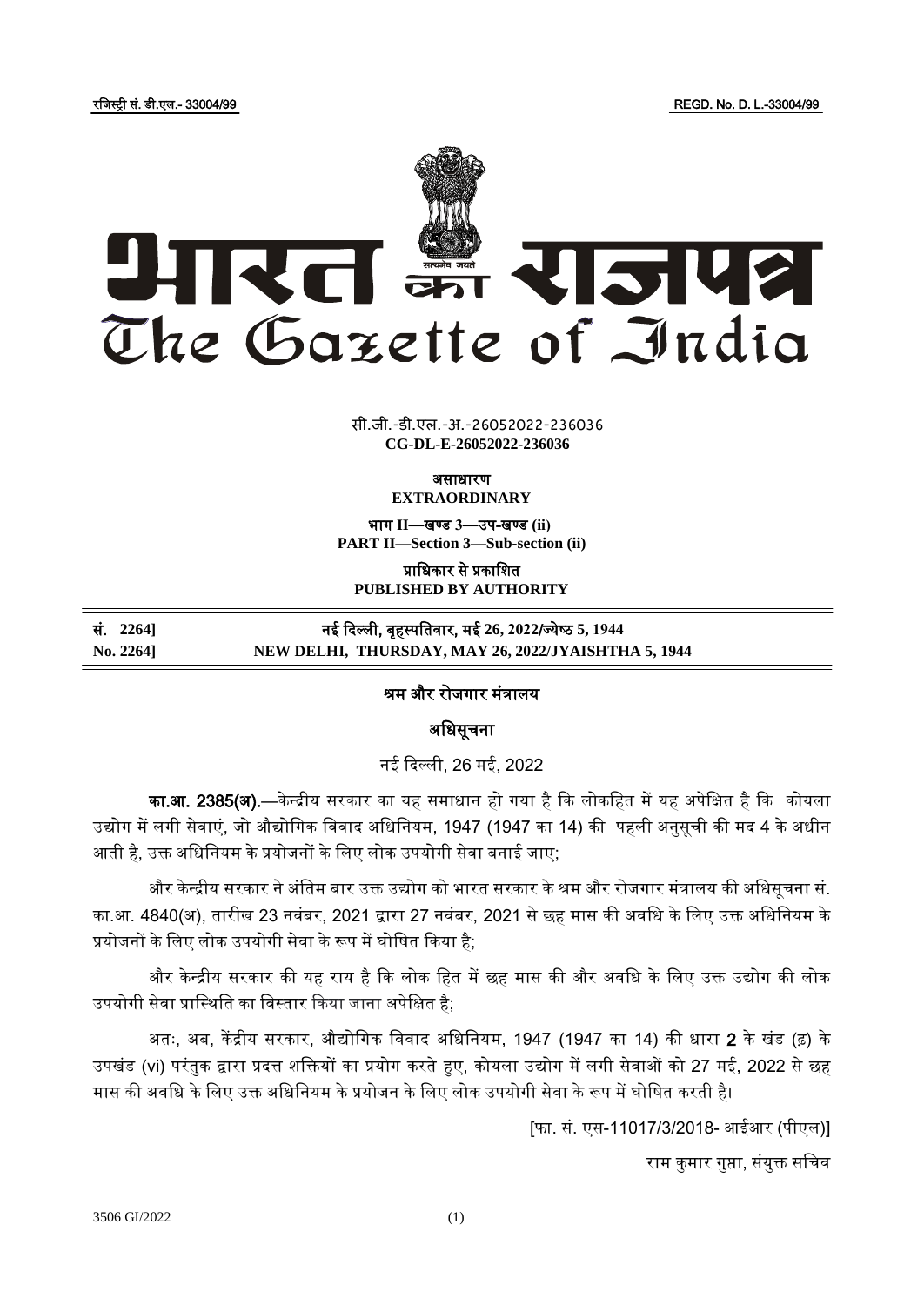रजजस्ट्री सं. डी.एल.- 33004/99 REGD. No. D. L.-33004/99



**xxxGIDHxxx** सी.जी.-डी.एल.-अ.-26052022-236036 **xxx**GIDE**xxx CG-DL-E-26052022-236036**

> ऄसाधारण **EXTRAORDINARY**

भाग **II**—खण् ड **3**—उप-खण् ड **(ii) PART II—Section 3—Sub-section (ii)**

प्राजधकार से प्रकाजित **PUBLISHED BY AUTHORITY**

## सं. **2264]** नई ददल्ली, बृहस्ट् पजतवार, मई **26, 2022**/ज् येष् ठ **5, 1944 No. 2264] NEW DELHI, THURSDAY, MAY 26, 2022/JYAISHTHA 5, 1944**

# श्रम और रोजगार मंत्रालय

अधिसूचना

नई ददल्ली, 26 मई, 2022

का.<mark>आ. 2385(अ).</mark>—केन्द्रीय सरकार का यह समाधान हो गया है कि लोकहित में यह अपेक्षित है कि कोयला उद्योग में लगी सेवाएं, जो औद्योगिक विवाद अधिनियम, 1947 (1947 का 14) की पहली अनुसूची की मद 4 के अधीन आती है, उक्त अधिनियम के प्रयोजनों के लिए लोक उपयोगी सेवा बनाई जाए;

और केन्द्रीय सरकार ने अंतिम बार उक्त उद्योग को भारत सरकार के श्रम और रोजगार मंत्रालय की अधिसूचना सं. का.आ. 4840(अ), तारीख 23 नवंबर, 2021 द्वारा 27 नवंबर, 2021 से छह मास की अवधि के लिए उक्त अधिनियम के प्रयोजनों के जलए लोक उपयोगी सेवा के रूप में घोजित दकया है;

और केन्द्रीय सरकार की यह राय है कि लोक हित में छह मास की और अवधि के लिए उक्त उद्योग की लोक उपयोगी सेवा प्रास्थिति का विस्तार किया जाना अपेक्षित है;

अतः, अब, केंद्रीय सरकार, औद्योगिक विवाद अधिनियम, 1947 (1947 का 14) की धारा **2** के खंड (ढ़) के उपखंड (vi) परंतुक द्वारा प्रदत्त शक्तियों का प्रयोग करते हुए, कोयला उद्योग में लगी सेवाओं को 27 मई, 2022 से छह मास की अवधि के लिए उक्त अधिनियम के प्रयोजन के लिए लोक उपयोगी सेवा के रूप में घोषित करती है।

[फा. सं. एस-11017/3/2018- अईअर (पीएल)]

राम कुमार गुप्ता, संयुक्त सचिव